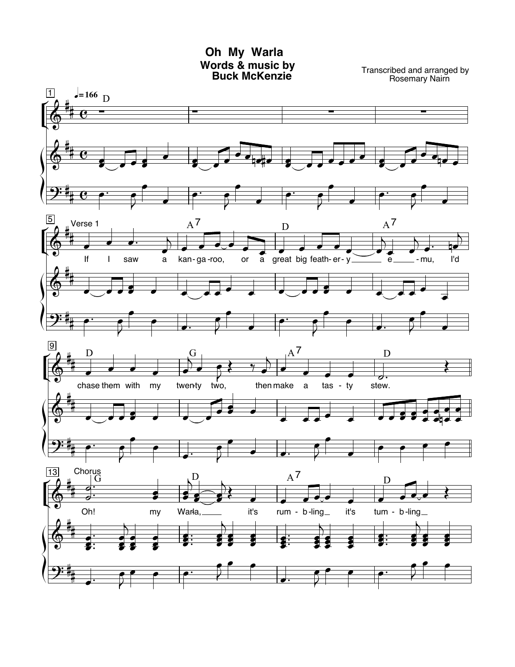## Oh My Warla Words & music by<br>Buck McKenzie

Transcribed and arranged by<br>Rosemary Nairn

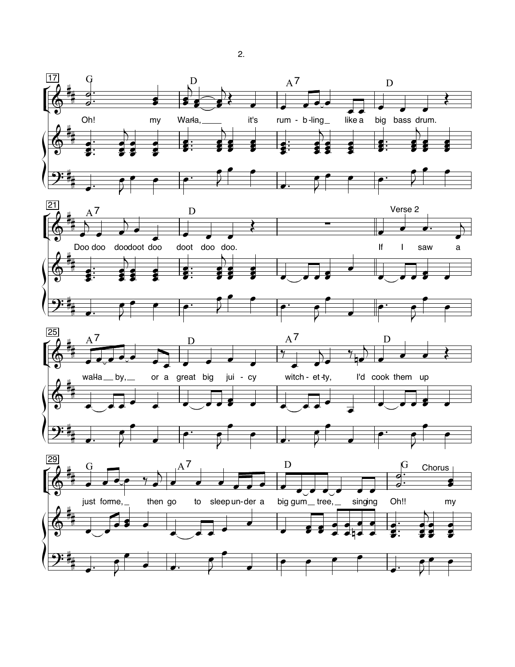

 $2.$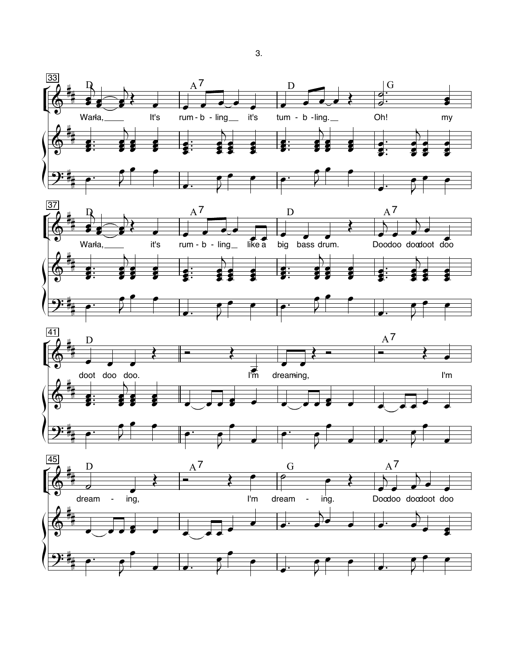

3.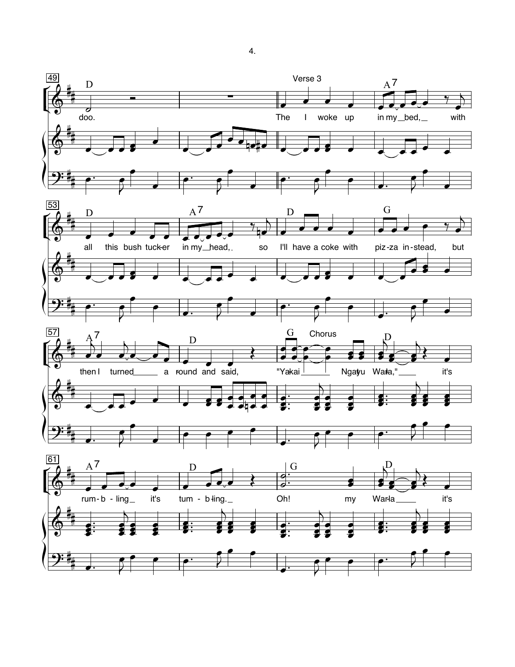

4.